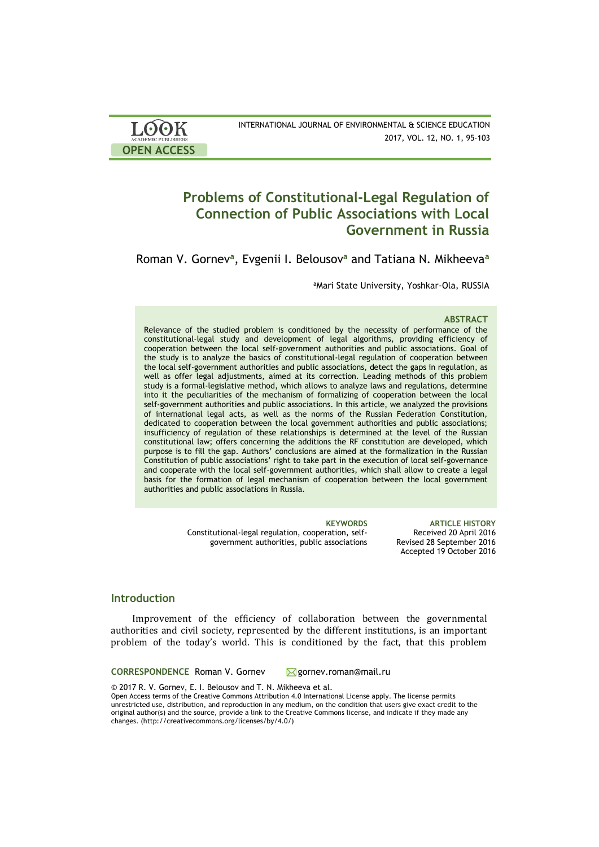| <b>LOOK</b>                | INTERNATIONAL JOURNAL OF ENVIRONMENTAL & SCIENCE EDUCATION |
|----------------------------|------------------------------------------------------------|
| <b>ACADEMIC PUBLISHERS</b> | 2017, VOL. 12, NO. 1, 95-103                               |
| <b>OPEN ACCESS</b>         |                                                            |

# **Problems of Constitutional-Legal Regulation of Connection of Public Associations with Local Government in Russia**

Roman V. Gornev**<sup>a</sup>** , Evgenii I. Belousov**<sup>a</sup>** and Tatiana N. Mikheeva**<sup>a</sup>**

aMari State University, Yoshkar-Ola, RUSSIA

### **ABSTRACT**

Relevance of the studied problem is conditioned by the necessity of performance of the constitutional-legal study and development of legal algorithms, providing efficiency of cooperation between the local self-government authorities and public associations. Goal of the study is to analyze the basics of constitutional-legal regulation of cooperation between the local self-government authorities and public associations, detect the gaps in regulation, as well as offer legal adjustments, aimed at its correction. Leading methods of this problem study is a formal-legislative method, which allows to analyze laws and regulations, determine into it the peculiarities of the mechanism of formalizing of cooperation between the local self-government authorities and public associations. In this article, we analyzed the provisions of international legal acts, as well as the norms of the Russian Federation Constitution, dedicated to cooperation between the local government authorities and public associations; insufficiency of regulation of these relationships is determined at the level of the Russian constitutional law; offers concerning the additions the RF constitution are developed, which purpose is to fill the gap. Authors' conclusions are aimed at the formalization in the Russian Constitution of public associations' right to take part in the execution of local self-governance and cooperate with the local self-government authorities, which shall allow to create a legal basis for the formation of legal mechanism of cooperation between the local government authorities and public associations in Russia.

> Constitutional-legal regulation, cooperation, selfgovernment authorities, public associations

**KEYWORDS ARTICLE HISTORY** Received 20 April 2016 Revised 28 September 2016 Accepted 19 October 2016

# **Introduction**

Improvement of the efficiency of collaboration between the governmental authorities and civil society, represented by the different institutions, is an important problem of the today's world. This is conditioned by the fact, that this problem

**CORRESPONDENCE** Roman V. Gornev **M** gornev.roman@mail.ru

© 2017 R. V. Gornev, E. I. Belousov and T. N. Mikheeva et al.

Open Access terms of the Creative Commons Attribution 4.0 International License apply. The license permits unrestricted use, distribution, and reproduction in any medium, on the condition that users give exact credit to the original author(s) and the source, provide a link to the Creative Commons license, and indicate if they made any changes. (http://creativecommons.org/licenses/by/4.0/)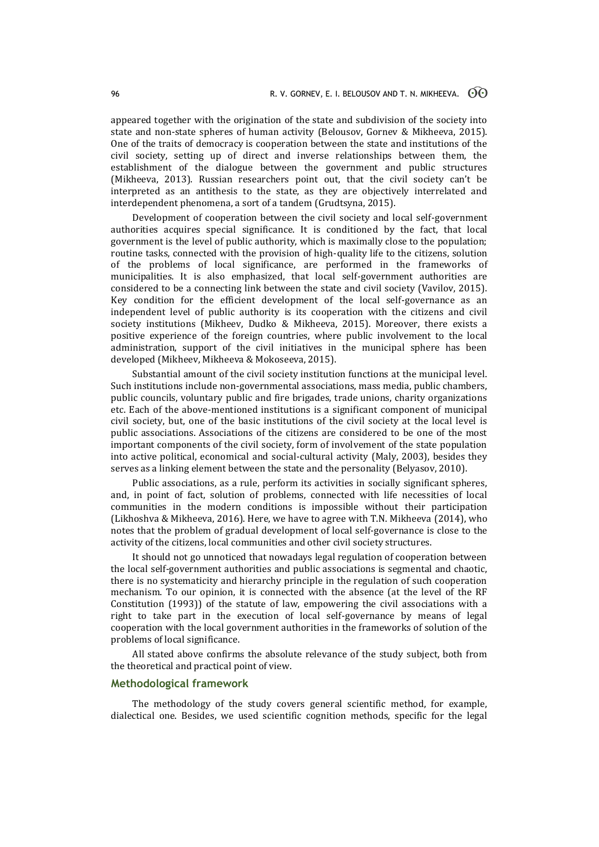appeared together with the origination of the state and subdivision of the society into state and non-state spheres of human activity (Belousov, Gornev & Mikheeva, 2015). One of the traits of democracy is cooperation between the state and institutions of the civil society, setting up of direct and inverse relationships between them, the establishment of the dialogue between the government and public structures (Mikheeva, 2013). Russian researchers point out, that the civil society can't be interpreted as an antithesis to the state, as they are objectively interrelated and interdependent phenomena, a sort of a tandem (Grudtsyna, 2015).

Development of cooperation between the civil society and local self-government authorities acquires special significance. It is conditioned by the fact, that local government is the level of public authority, which is maximally close to the population; routine tasks, connected with the provision of high-quality life to the citizens, solution of the problems of local significance, are performed in the frameworks of municipalities. It is also emphasized, that local self-government authorities are considered to be a connecting link between the state and civil society (Vavilov, 2015). Key condition for the efficient development of the local self-governance as an independent level of public authority is its cooperation with the citizens and civil society institutions (Mikheev, Dudko & Mikheeva, 2015). Moreover, there exists a positive experience of the foreign countries, where public involvement to the local administration, support of the civil initiatives in the municipal sphere has been developed (Mikheev, Mikheeva & Mokoseeva, 2015).

Substantial amount of the civil society institution functions at the municipal level. Such institutions include non-governmental associations, mass media, public chambers, public councils, voluntary public and fire brigades, trade unions, charity organizations etc. Each of the above-mentioned institutions is a significant component of municipal civil society, but, one of the basic institutions of the civil society at the local level is public associations. Associations of the citizens are considered to be one of the most important components of the civil society, form of involvement of the state population into active political, economical and social-cultural activity (Maly, 2003), besides they serves as a linking element between the state and the personality (Belyasov, 2010).

Public associations, as a rule, perform its activities in socially significant spheres, and, in point of fact, solution of problems, connected with life necessities of local communities in the modern conditions is impossible without their participation (Likhoshva & Mikheeva, 2016). Here, we have to agree with T.N. Mikheeva (2014), who notes that the problem of gradual development of local self-governance is close to the activity of the citizens, local communities and other civil society structures.

It should not go unnoticed that nowadays legal regulation of cooperation between the local self-government authorities and public associations is segmental and chaotic, there is no systematicity and hierarchy principle in the regulation of such cooperation mechanism. To our opinion, it is connected with the absence (at the level of the RF Constitution (1993)) of the statute of law, empowering the civil associations with a right to take part in the execution of local self-governance by means of legal cooperation with the local government authorities in the frameworks of solution of the problems of local significance.

All stated above confirms the absolute relevance of the study subject, both from the theoretical and practical point of view.

### **Methodological framework**

The methodology of the study covers general scientific method, for example, dialectical one. Besides, we used scientific cognition methods, specific for the legal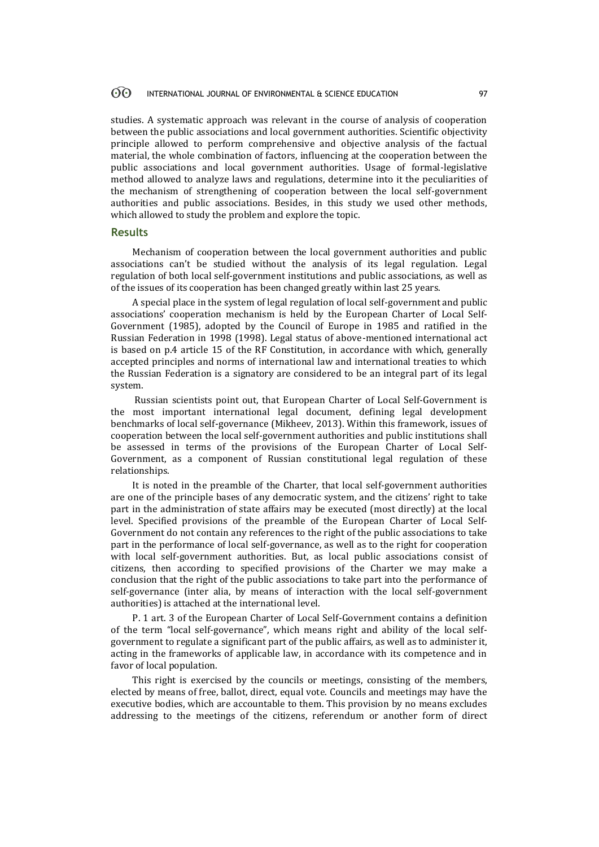studies. A systematic approach was relevant in the course of analysis of cooperation between the public associations and local government authorities. Scientific objectivity principle allowed to perform comprehensive and objective analysis of the factual material, the whole combination of factors, influencing at the cooperation between the public associations and local government authorities. Usage of formal-legislative method allowed to analyze laws and regulations, determine into it the peculiarities of the mechanism of strengthening of cooperation between the local self-government authorities and public associations. Besides, in this study we used other methods, which allowed to study the problem and explore the topic.

### **Results**

Mechanism of cooperation between the local government authorities and public associations can't be studied without the analysis of its legal regulation. Legal regulation of both local self-government institutions and public associations, as well as of the issues of its cooperation has been changed greatly within last 25 years.

A special place in the system of legal regulation of local self-government and public associations' cooperation mechanism is held by the European Charter of Local Self-Government (1985), adopted by the Council of Europe in 1985 and ratified in the Russian Federation in 1998 (1998). Legal status of above-mentioned international act is based on p.4 article 15 of the RF Constitution, in accordance with which, generally accepted principles and norms of international law and international treaties to which the Russian Federation is a signatory are considered to be an integral part of its legal system.

Russian scientists point out, that European Charter of Local Self-Government is the most important international legal document, defining legal development benchmarks of local self-governance (Mikheev, 2013). Within this framework, issues of cooperation between the local self-government authorities and public institutions shall be assessed in terms of the provisions of the European Charter of Local Self-Government, as a component of Russian constitutional legal regulation of these relationships.

It is noted in the preamble of the Charter, that local self-government authorities are one of the principle bases of any democratic system, and the citizens' right to take part in the administration of state affairs may be executed (most directly) at the local level. Specified provisions of the preamble of the European Charter of Local Self-Government do not contain any references to the right of the public associations to take part in the performance of local self-governance, as well as to the right for cooperation with local self-government authorities. But, as local public associations consist of citizens, then according to specified provisions of the Charter we may make a conclusion that the right of the public associations to take part into the performance of self-governance (inter alia, by means of interaction with the local self-government authorities) is attached at the international level.

P. 1 art. 3 of the European Charter of Local Self-Government contains a definition of the term "local self-governance", which means right and ability of the local selfgovernment to regulate a significant part of the public affairs, as well as to administer it, acting in the frameworks of applicable law, in accordance with its competence and in favor of local population.

This right is exercised by the councils or meetings, consisting of the members, elected by means of free, ballot, direct, equal vote. Councils and meetings may have the executive bodies, which are accountable to them. This provision by no means excludes addressing to the meetings of the citizens, referendum or another form of direct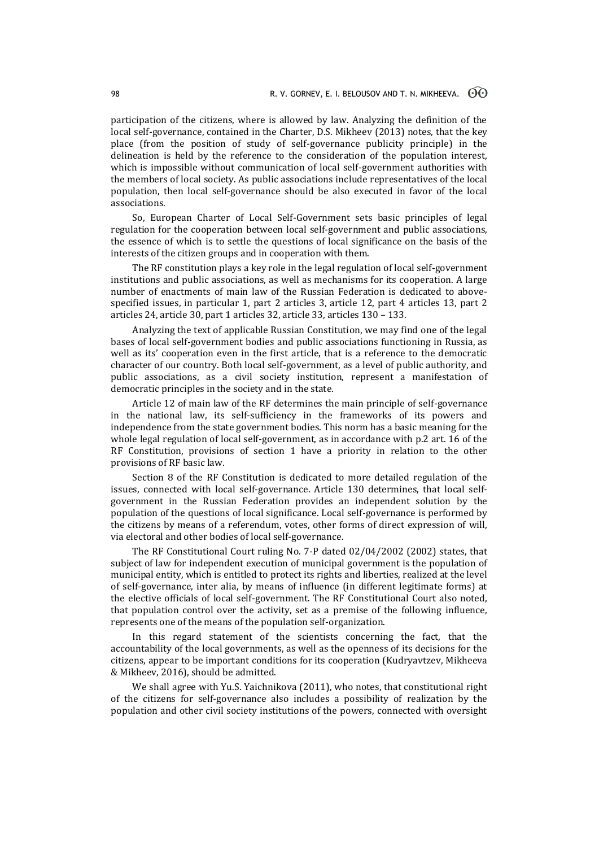participation of the citizens, where is allowed by law. Analyzing the definition of the local self-governance, contained in the Charter, D.S. Mikheev (2013) notes, that the key place (from the position of study of self-governance publicity principle) in the delineation is held by the reference to the consideration of the population interest, which is impossible without communication of local self-government authorities with the members of local society. As public associations include representatives of the local population, then local self-governance should be also executed in favor of the local associations.

So, European Charter of Local Self-Government sets basic principles of legal regulation for the cooperation between local self-government and public associations, the essence of which is to settle the questions of local significance on the basis of the interests of the citizen groups and in cooperation with them.

The RF constitution plays a key role in the legal regulation of local self-government institutions and public associations, as well as mechanisms for its cooperation. A large number of enactments of main law of the Russian Federation is dedicated to abovespecified issues, in particular 1, part 2 articles 3, article 12, part 4 articles 13, part 2 articles 24, article 30, part 1 articles 32, article 33, articles 130 – 133.

Analyzing the text of applicable Russian Constitution, we may find one of the legal bases of local self-government bodies and public associations functioning in Russia, as well as its' cooperation even in the first article, that is a reference to the democratic character of our country. Both local self-government, as a level of public authority, and public associations, as a civil society institution, represent a manifestation of democratic principles in the society and in the state.

Article 12 of main law of the RF determines the main principle of self-governance in the national law, its self-sufficiency in the frameworks of its powers and independence from the state government bodies. This norm has a basic meaning for the whole legal regulation of local self-government, as in accordance with p.2 art. 16 of the RF Constitution, provisions of section 1 have a priority in relation to the other provisions of RF basic law.

Section 8 of the RF Constitution is dedicated to more detailed regulation of the issues, connected with local self-governance. Article 130 determines, that local selfgovernment in the Russian Federation provides an independent solution by the population of the questions of local significance. Local self-governance is performed by the citizens by means of a referendum, votes, other forms of direct expression of will, via electoral and other bodies of local self-governance.

The RF Constitutional Court ruling No. 7-P dated 02/04/2002 (2002) states, that subject of law for independent execution of municipal government is the population of municipal entity, which is entitled to protect its rights and liberties, realized at the level of self-governance, inter alia, by means of influence (in different legitimate forms) at the elective officials of local self-government. The RF Constitutional Court also noted, that population control over the activity, set as a premise of the following influence, represents one of the means of the population self-organization.

In this regard statement of the scientists concerning the fact, that the accountability of the local governments, as well as the openness of its decisions for the citizens, appear to be important conditions for its cooperation (Kudryavtzev, Mikheeva & Mikheev, 2016), should be admitted.

We shall agree with Yu.S. Yaichnikova (2011), who notes, that constitutional right of the citizens for self-governance also includes a possibility of realization by the population and other civil society institutions of the powers, connected with oversight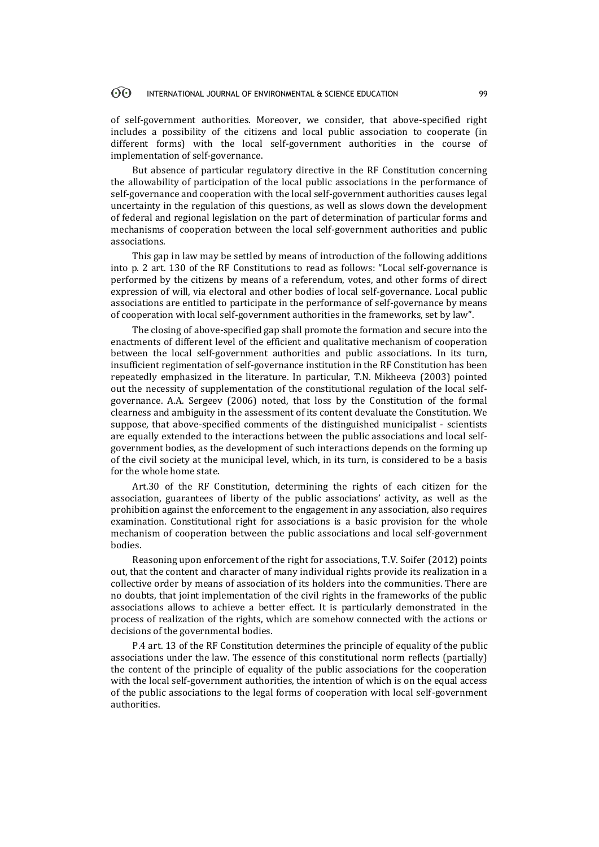of self-government authorities. Moreover, we consider, that above-specified right includes a possibility of the citizens and local public association to cooperate (in different forms) with the local self-government authorities in the course of implementation of self-governance.

But absence of particular regulatory directive in the RF Constitution concerning the allowability of participation of the local public associations in the performance of self-governance and cooperation with the local self-government authorities causes legal uncertainty in the regulation of this questions, as well as slows down the development of federal and regional legislation on the part of determination of particular forms and mechanisms of cooperation between the local self-government authorities and public associations.

This gap in law may be settled by means of introduction of the following additions into p. 2 art. 130 of the RF Constitutions to read as follows: "Local self-governance is performed by the citizens by means of a referendum, votes, and other forms of direct expression of will, via electoral and other bodies of local self-governance. Local public associations are entitled to participate in the performance of self-governance by means of cooperation with local self-government authorities in the frameworks, set by law".

The closing of above-specified gap shall promote the formation and secure into the enactments of different level of the efficient and qualitative mechanism of cooperation between the local self-government authorities and public associations. In its turn, insufficient regimentation of self-governance institution in the RF Constitution has been repeatedly emphasized in the literature. In particular, T.N. Mikheeva (2003) pointed out the necessity of supplementation of the constitutional regulation of the local selfgovernance. A.A. Sergeev (2006) noted, that loss by the Constitution of the formal clearness and ambiguity in the assessment of its content devaluate the Constitution. We suppose, that above-specified comments of the distinguished municipalist - scientists are equally extended to the interactions between the public associations and local selfgovernment bodies, as the development of such interactions depends on the forming up of the civil society at the municipal level, which, in its turn, is considered to be a basis for the whole home state.

Art.30 of the RF Constitution, determining the rights of each citizen for the association, guarantees of liberty of the public associations' activity, as well as the prohibition against the enforcement to the engagement in any association, also requires examination. Constitutional right for associations is a basic provision for the whole mechanism of cooperation between the public associations and local self-government bodies.

Reasoning upon enforcement of the right for associations, T.V. Soifer (2012) points out, that the content and character of many individual rights provide its realization in a collective order by means of association of its holders into the communities. There are no doubts, that joint implementation of the civil rights in the frameworks of the public associations allows to achieve a better effect. It is particularly demonstrated in the process of realization of the rights, which are somehow connected with the actions or decisions of the governmental bodies.

P.4 art. 13 of the RF Constitution determines the principle of equality of the public associations under the law. The essence of this constitutional norm reflects (partially) the content of the principle of equality of the public associations for the cooperation with the local self-government authorities, the intention of which is on the equal access of the public associations to the legal forms of cooperation with local self-government authorities.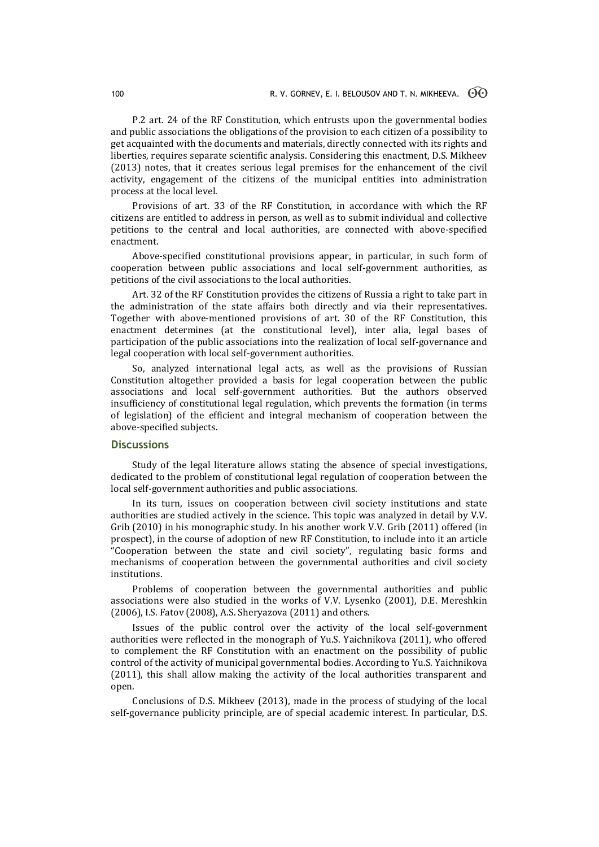P.2 art. 24 of the RF Constitution, which entrusts upon the governmental bodies and public associations the obligations of the provision to each citizen of a possibility to get acquainted with the documents and materials, directly connected with its rights and liberties, requires separate scientific analysis. Considering this enactment, D.S. Mikheev (2013) notes, that it creates serious legal premises for the enhancement of the civil activity, engagement of the citizens of the municipal entities into administration process at the local level.

Provisions of art. 33 of the RF Constitution, in accordance with which the RF citizens are entitled to address in person, as well as to submit individual and collective petitions to the central and local authorities, are connected with above-specified enactment.

Above-specified constitutional provisions appear, in particular, in such form of cooperation between public associations and local self-government authorities, as petitions of the civil associations to the local authorities.

Art. 32 of the RF Constitution provides the citizens of Russia a right to take part in the administration of the state affairs both directly and via their representatives. Together with above-mentioned provisions of art. 30 of the RF Constitution, this enactment determines (at the constitutional level), inter alia, legal bases of participation of the public associations into the realization of local self-governance and legal cooperation with local self-government authorities.

So, analyzed international legal acts, as well as the provisions of Russian Constitution altogether provided a basis for legal cooperation between the public associations and local self-government authorities. But the authors observed insufficiency of constitutional legal regulation, which prevents the formation (in terms of legislation) of the efficient and integral mechanism of cooperation between the above-specified subjects.

# **Discussions**

Study of the legal literature allows stating the absence of special investigations, dedicated to the problem of constitutional legal regulation of cooperation between the local self-government authorities and public associations.

In its turn, issues on cooperation between civil society institutions and state authorities are studied actively in the science. This topic was analyzed in detail by V.V. Grib (2010) in his monographic study. In his another work V.V. Grib (2011) offered (in prospect), in the course of adoption of new RF Constitution, to include into it an article "Cooperation between the state and civil society", regulating basic forms and mechanisms of cooperation between the governmental authorities and civil society institutions.

Problems of cooperation between the governmental authorities and public associations were also studied in the works of V.V. Lysenko (2001), D.E. Mereshkin (2006), I.S. Fatov (2008), A.S. Sheryazova (2011) and others.

Issues of the public control over the activity of the local self-government authorities were reflected in the monograph of Yu.S. Yaichnikova (2011), who offered to complement the RF Constitution with an enactment on the possibility of public control of the activity of municipal governmental bodies. According to Yu.S. Yaichnikova (2011), this shall allow making the activity of the local authorities transparent and open.

Conclusions of D.S. Mikheev (2013), made in the process of studying of the local self-governance publicity principle, are of special academic interest. In particular, D.S.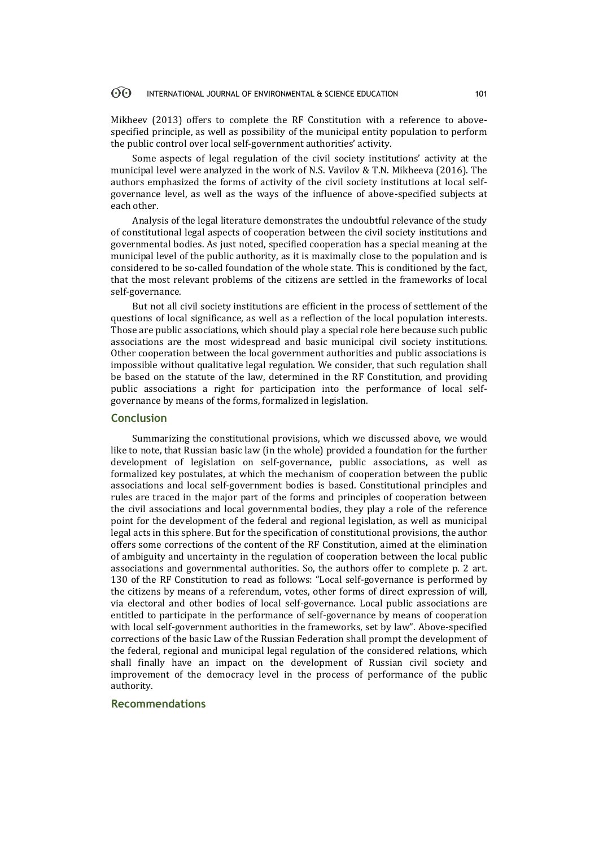Mikheev (2013) offers to complete the RF Constitution with a reference to abovespecified principle, as well as possibility of the municipal entity population to perform the public control over local self-government authorities' activity.

Some aspects of legal regulation of the civil society institutions' activity at the municipal level were analyzed in the work of N.S. Vavilov & T.N. Mikheeva (2016). The authors emphasized the forms of activity of the civil society institutions at local selfgovernance level, as well as the ways of the influence of above-specified subjects at each other.

Analysis of the legal literature demonstrates the undoubtful relevance of the study of constitutional legal aspects of cooperation between the civil society institutions and governmental bodies. As just noted, specified cooperation has a special meaning at the municipal level of the public authority, as it is maximally close to the population and is considered to be so-called foundation of the whole state. This is conditioned by the fact, that the most relevant problems of the citizens are settled in the frameworks of local self-governance.

But not all civil society institutions are efficient in the process of settlement of the questions of local significance, as well as a reflection of the local population interests. Those are public associations, which should play a special role here because such public associations are the most widespread and basic municipal civil society institutions. Other cooperation between the local government authorities and public associations is impossible without qualitative legal regulation. We consider, that such regulation shall be based on the statute of the law, determined in the RF Constitution, and providing public associations a right for participation into the performance of local selfgovernance by means of the forms, formalized in legislation.

### **Conclusion**

Summarizing the constitutional provisions, which we discussed above, we would like to note, that Russian basic law (in the whole) provided a foundation for the further development of legislation on self-governance, public associations, as well as formalized key postulates, at which the mechanism of cooperation between the public associations and local self-government bodies is based. Constitutional principles and rules are traced in the major part of the forms and principles of cooperation between the civil associations and local governmental bodies, they play a role of the reference point for the development of the federal and regional legislation, as well as municipal legal acts in this sphere. But for the specification of constitutional provisions, the author offers some corrections of the content of the RF Constitution, aimed at the elimination of ambiguity and uncertainty in the regulation of cooperation between the local public associations and governmental authorities. So, the authors offer to complete p. 2 art. 130 of the RF Constitution to read as follows: "Local self-governance is performed by the citizens by means of a referendum, votes, other forms of direct expression of will, via electoral and other bodies of local self-governance. Local public associations are entitled to participate in the performance of self-governance by means of cooperation with local self-government authorities in the frameworks, set by law". Above-specified corrections of the basic Law of the Russian Federation shall prompt the development of the federal, regional and municipal legal regulation of the considered relations, which shall finally have an impact on the development of Russian civil society and improvement of the democracy level in the process of performance of the public authority.

# **Recommendations**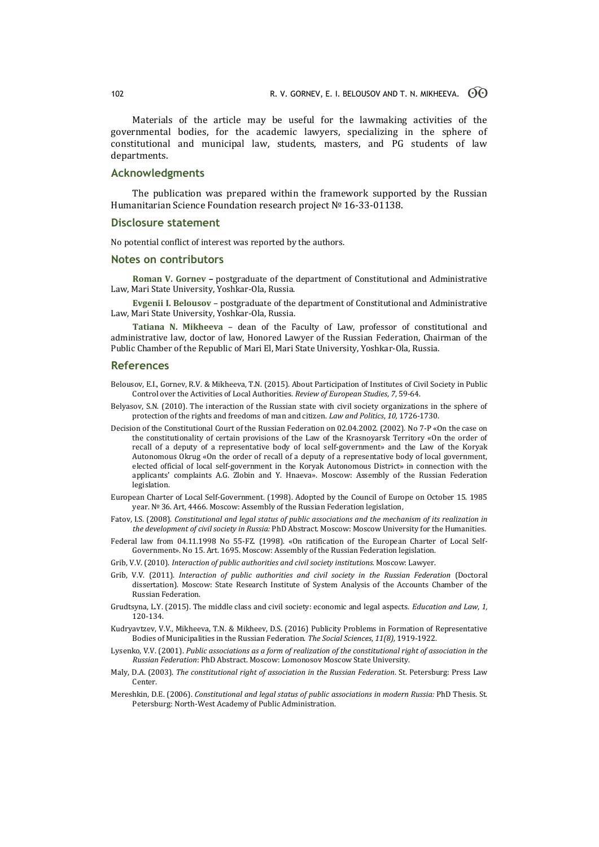Materials of the article may be useful for the lawmaking activities of the governmental bodies, for the academic lawyers, specializing in the sphere of constitutional and municipal law, students, masters, and PG students of law departments.

## **Acknowledgments**

The publication was prepared within the framework supported by the Russian Humanitarian Science Foundation research project № 16-33-01138.

### **Disclosure statement**

No potential conflict of interest was reported by the authors.

### **Notes on contributors**

**Roman V. Gornev –** postgraduate of the department of Constitutional and Administrative Law, Mari State University, Yoshkar-Ola, Russia.

**Evgenii I. Belousov** – postgraduate of the department of Constitutional and Administrative Law, Mari State University, Yoshkar-Ola, Russia.

**Tatiana N. Mikheeva** – dean of the Faculty of Law, professor of constitutional and administrative law, doctor of law, Honored Lawyer of the Russian Federation, Chairman of the Public Chamber of the Republic of Mari El, Mari State University, Yoshkar-Ola, Russia.

### **References**

- Belousov, E.I., Gornev, R.V. & Mikheeva, T.N. (2015). About Participation of Institutes of Civil Society in Public Control over the Activities of Local Authorities. *Review of European Studies*, *7*, 59-64.
- Belyasov, S.N. (2010). The interaction of the Russian state with civil society organizations in the sphere of protection of the rights and freedoms of man and citizen. *Law and Politics*, *10,* 1726-1730.
- Decision of the Constitutional Court of the Russian Federation on 02.04.2002. (2002). No 7-P «On the case on the constitutionality of certain provisions of the Law of the Krasnoyarsk Territory «On the order of recall of a deputy of a representative body of local self-government» and the Law of the Koryak Autonomous Okrug «On the order of recall of a deputy of a representative body of local government, elected official of local self-government in the Koryak Autonomous District» in connection with the applicants' complaints A.G. Zlobin and Y. Hnaeva». Moscow: Assembly of the Russian Federation legislation.
- European Charter of Local Self-Government. (1998). Adopted by the Council of Europe on October 15. 1985 year. № 36. Art, 4466. Moscow: Assembly of the Russian Federation legislation,
- Fatov, I.S. (2008). *Constitutional and legal status of public associations and the mechanism of its realization in the development of civil society in Russia:* PhD Abstract. Moscow: Moscow University for the Humanities.
- Federal law from 04.11.1998 No 55-FZ. (1998). «On ratification of the European Charter of Local Self-Government». No 15. Art. 1695. Moscow: Assembly of the Russian Federation legislation.
- Grib, V.V. (2010). *Interaction of public authorities and civil society institutions.* Moscow: Lawyer.
- Grib, V.V. (2011). *Interaction of public authorities and civil society in the Russian Federation* (Doctoral dissertation). Moscow: [State Research Institute of System Analysis of the Accounts Chamber](http://law.edu.ru/org/organization.asp?orgID=1287359) of the [Russian Federation.](http://law.edu.ru/org/organization.asp?orgID=1287359)
- Grudtsyna, L.Y. (2015). The middle class and civil society: economic and legal aspects. *Education and Law*, *1,* 120-134.
- Kudryavtzev, V.V., Mikheeva, T.N. & Mikheev, D.S. (2016) Publicity Problems in Formation of Representative Bodies of Municipalities in the Russian Federation. *The Social Sciences*, *11(8),* 1919-1922.
- Lysenko, V.V. (2001). *Public associations as a form of realization of the constitutional right of association in the Russian Federation*: PhD Abstract. Moscow: Lomonosov Moscow State University.
- Maly, D.A. (2003). *The constitutional right of association in the Russian Federation*. St. Petersburg: Press Law Center.
- Mereshkin, D.E. (2006). *Constitutional and legal status of public associations in modern Russia:* PhD Thesis. St. Petersburg: North-West Academy of Public Administration.